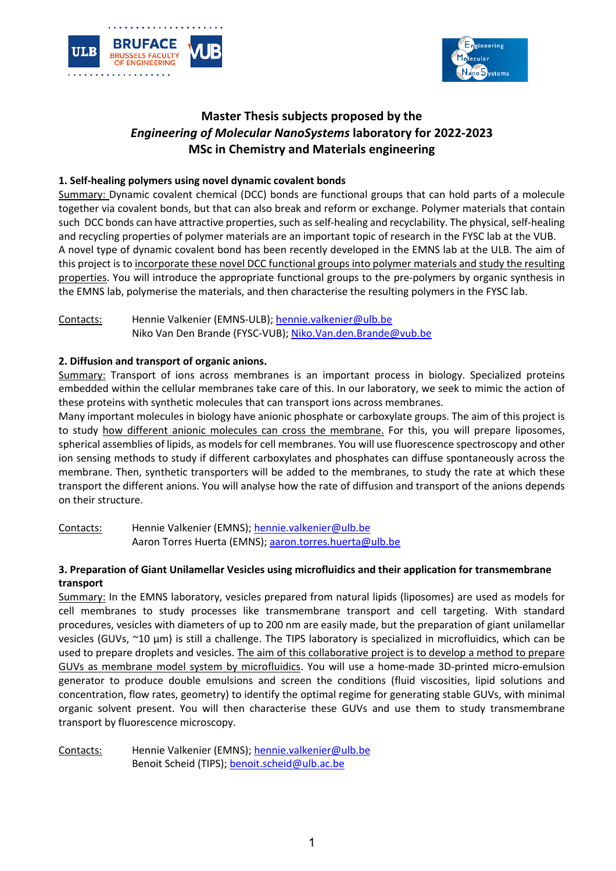



# **Master Thesis subjects proposed by the** *Engineering of Molecular NanoSystems* **laboratory for 2022-2023 MSc in Chemistry and Materials engineering**

# **1. Self-healing polymers using novel dynamic covalent bonds**

Summary: Dynamic covalent chemical (DCC) bonds are functional groups that can hold parts of a molecule together via covalent bonds, but that can also break and reform or exchange. Polymer materials that contain such DCC bonds can have attractive properties, such as self-healing and recyclability. The physical, self-healing and recycling properties of polymer materials are an important topic of research in the FYSC lab at the VUB. A novel type of dynamic covalent bond has been recently developed in the EMNS lab at the ULB. The aim of this project is to incorporate these novel DCC functional groups into polymer materials and study the resulting properties. You will introduce the appropriate functional groups to the pre-polymers by organic synthesis in the EMNS lab, polymerise the materials, and then characterise the resulting polymers in the FYSC lab.

Contacts: Hennie Valkenier (EMNS-ULB); hennie.valkenier@ulb.be Niko Van Den Brande (FYSC-VUB); Niko.Van.den.Brande@vub.be

#### **2. Diffusion and transport of organic anions.**

Summary: Transport of ions across membranes is an important process in biology. Specialized proteins embedded within the cellular membranes take care of this. In our laboratory, we seek to mimic the action of these proteins with synthetic molecules that can transport ions across membranes.

Many important molecules in biology have anionic phosphate or carboxylate groups. The aim of this project is to study how different anionic molecules can cross the membrane. For this, you will prepare liposomes, spherical assemblies of lipids, as models for cell membranes. You will use fluorescence spectroscopy and other ion sensing methods to study if different carboxylates and phosphates can diffuse spontaneously across the membrane. Then, synthetic transporters will be added to the membranes, to study the rate at which these transport the different anions. You will analyse how the rate of diffusion and transport of the anions depends on their structure.

Contacts: Hennie Valkenier (EMNS); hennie.valkenier@ulb.be Aaron Torres Huerta (EMNS); aaron.torres.huerta@ulb.be

## **3. Preparation of Giant Unilamellar Vesicles using microfluidics and their application for transmembrane transport**

Summary: In the EMNS laboratory, vesicles prepared from natural lipids (liposomes) are used as models for cell membranes to study processes like transmembrane transport and cell targeting. With standard procedures, vesicles with diameters of up to 200 nm are easily made, but the preparation of giant unilamellar vesicles (GUVs, ~10 µm) is still a challenge. The TIPS laboratory is specialized in microfluidics, which can be used to prepare droplets and vesicles. The aim of this collaborative project is to develop a method to prepare GUVs as membrane model system by microfluidics. You will use a home-made 3D-printed micro-emulsion generator to produce double emulsions and screen the conditions (fluid viscosities, lipid solutions and concentration, flow rates, geometry) to identify the optimal regime for generating stable GUVs, with minimal organic solvent present. You will then characterise these GUVs and use them to study transmembrane transport by fluorescence microscopy.

Contacts: Hennie Valkenier (EMNS); hennie.valkenier@ulb.be Benoit Scheid (TIPS); benoit.scheid@ulb.ac.be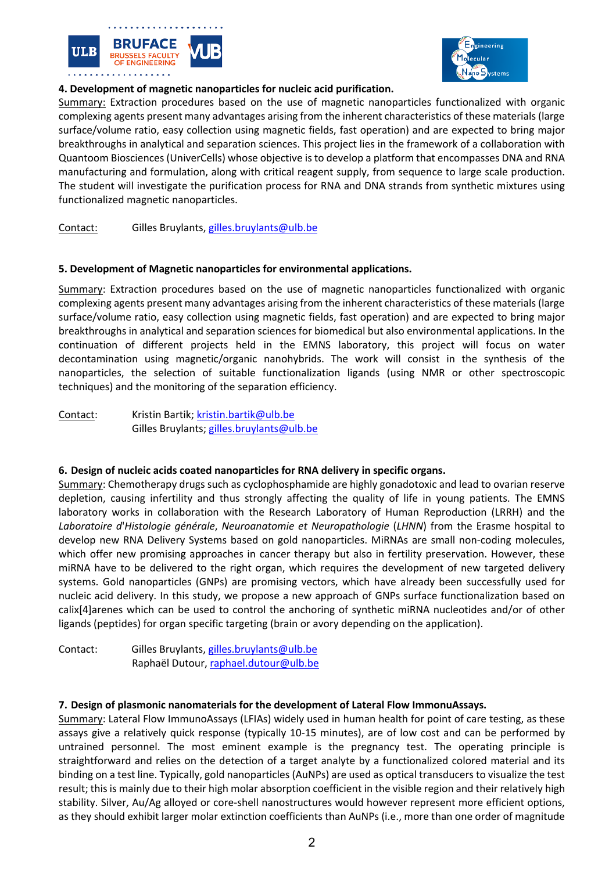



# **4. Development of magnetic nanoparticles for nucleic acid purification.**

Summary: Extraction procedures based on the use of magnetic nanoparticles functionalized with organic complexing agents present many advantages arising from the inherent characteristics of these materials (large surface/volume ratio, easy collection using magnetic fields, fast operation) and are expected to bring major breakthroughs in analytical and separation sciences. This project lies in the framework of a collaboration with Quantoom Biosciences (UniverCells) whose objective is to develop a platform that encompasses DNA and RNA manufacturing and formulation, along with critical reagent supply, from sequence to large scale production. The student will investigate the purification process for RNA and DNA strands from synthetic mixtures using functionalized magnetic nanoparticles.

## Contact: Gilles Bruylants, gilles.bruylants@ulb.be

#### **5. Development of Magnetic nanoparticles for environmental applications.**

Summary: Extraction procedures based on the use of magnetic nanoparticles functionalized with organic complexing agents present many advantages arising from the inherent characteristics of these materials (large surface/volume ratio, easy collection using magnetic fields, fast operation) and are expected to bring major breakthroughs in analytical and separation sciences for biomedical but also environmental applications. In the continuation of different projects held in the EMNS laboratory, this project will focus on water decontamination using magnetic/organic nanohybrids. The work will consist in the synthesis of the nanoparticles, the selection of suitable functionalization ligands (using NMR or other spectroscopic techniques) and the monitoring of the separation efficiency.

Contact: Kristin Bartik; kristin.bartik@ulb.be Gilles Bruylants; gilles.bruylants@ulb.be

#### **6. Design of nucleic acids coated nanoparticles for RNA delivery in specific organs.**

Summary: Chemotherapy drugs such as cyclophosphamide are highly gonadotoxic and lead to ovarian reserve depletion, causing infertility and thus strongly affecting the quality of life in young patients. The EMNS laboratory works in collaboration with the Research Laboratory of Human Reproduction (LRRH) and the *Laboratoire d*'*Histologie générale*, *Neuroanatomie et Neuropathologie* (*LHNN*) from the Erasme hospital to develop new RNA Delivery Systems based on gold nanoparticles. MiRNAs are small non-coding molecules, which offer new promising approaches in cancer therapy but also in fertility preservation. However, these miRNA have to be delivered to the right organ, which requires the development of new targeted delivery systems. Gold nanoparticles (GNPs) are promising vectors, which have already been successfully used for nucleic acid delivery. In this study, we propose a new approach of GNPs surface functionalization based on calix[4]arenes which can be used to control the anchoring of synthetic miRNA nucleotides and/or of other ligands (peptides) for organ specific targeting (brain or avory depending on the application).

Contact: Gilles Bruylants, gilles.bruylants@ulb.be Raphaël Dutour, raphael.dutour@ulb.be

#### **7. Design of plasmonic nanomaterials for the development of Lateral Flow ImmonuAssays.**

Summary: Lateral Flow ImmunoAssays (LFIAs) widely used in human health for point of care testing, as these assays give a relatively quick response (typically 10-15 minutes), are of low cost and can be performed by untrained personnel. The most eminent example is the pregnancy test. The operating principle is straightforward and relies on the detection of a target analyte by a functionalized colored material and its binding on a test line. Typically, gold nanoparticles (AuNPs) are used as optical transducers to visualize the test result; this is mainly due to their high molar absorption coefficient in the visible region and their relatively high stability. Silver, Au/Ag alloyed or core-shell nanostructures would however represent more efficient options, as they should exhibit larger molar extinction coefficients than AuNPs (i.e., more than one order of magnitude